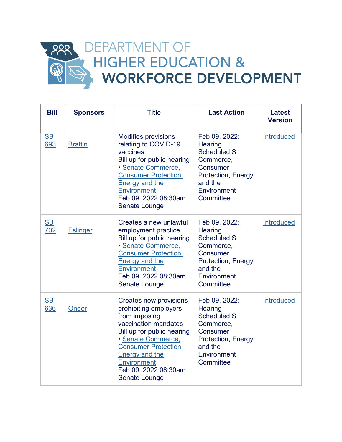

| <b>Bill</b>                      | <b>Sponsors</b> | <b>Title</b>                                                                                                                                                                                                                                                               | <b>Last Action</b>                                                                                                                                        | <b>Latest</b><br><b>Version</b> |
|----------------------------------|-----------------|----------------------------------------------------------------------------------------------------------------------------------------------------------------------------------------------------------------------------------------------------------------------------|-----------------------------------------------------------------------------------------------------------------------------------------------------------|---------------------------------|
| $\underline{\mathsf{SB}}$<br>693 | <b>Brattin</b>  | <b>Modifies provisions</b><br>relating to COVID-19<br>vaccines<br>Bill up for public hearing<br>• Senate Commerce,<br><b>Consumer Protection,</b><br><b>Energy and the</b><br><b>Environment</b><br>Feb 09, 2022 08:30am<br>Senate Lounge                                  | Feb 09, 2022:<br>Hearing<br><b>Scheduled S</b><br>Commerce,<br>Consumer<br>Protection, Energy<br>and the<br>Environment<br>Committee                      | Introduced                      |
| $\underline{\mathsf{SB}}$<br>702 | <b>Eslinger</b> | Creates a new unlawful<br>employment practice<br>Bill up for public hearing<br>· Senate Commerce,<br><b>Consumer Protection,</b><br><b>Energy and the</b><br><b>Environment</b><br>Feb 09, 2022 08:30am<br>Senate Lounge                                                   | Feb 09, 2022:<br><b>Hearing</b><br><b>Scheduled S</b><br>Commerce,<br><b>Consumer</b><br>Protection, Energy<br>and the<br>Environment<br>Committee        | <b>Introduced</b>               |
| $\underline{\mathsf{SB}}$<br>636 | Onder           | <b>Creates new provisions</b><br>prohibiting employers<br>from imposing<br>vaccination mandates<br>Bill up for public hearing<br>· Senate Commerce,<br><b>Consumer Protection,</b><br><b>Energy and the</b><br><b>Environment</b><br>Feb 09, 2022 08:30am<br>Senate Lounge | Feb 09, 2022:<br><b>Hearing</b><br><b>Scheduled S</b><br>Commerce,<br><b>Consumer</b><br><b>Protection, Energy</b><br>and the<br>Environment<br>Committee | Introduced                      |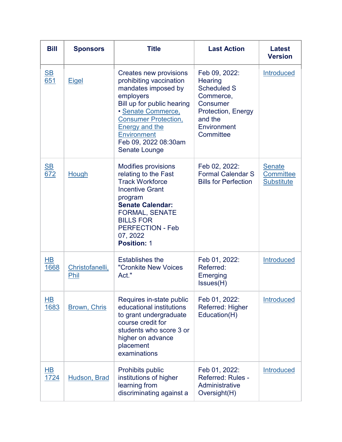| <b>Bill</b>                      | <b>Sponsors</b>         | <b>Title</b>                                                                                                                                                                                                                                                     | <b>Last Action</b>                                                                                                                                        | <b>Latest</b><br><b>Version</b>                        |
|----------------------------------|-------------------------|------------------------------------------------------------------------------------------------------------------------------------------------------------------------------------------------------------------------------------------------------------------|-----------------------------------------------------------------------------------------------------------------------------------------------------------|--------------------------------------------------------|
| $\underline{\mathsf{SB}}$<br>651 | <b>Eigel</b>            | Creates new provisions<br>prohibiting vaccination<br>mandates imposed by<br>employers<br>Bill up for public hearing<br>· Senate Commerce,<br><b>Consumer Protection,</b><br><b>Energy and the</b><br><b>Environment</b><br>Feb 09, 2022 08:30am<br>Senate Lounge | Feb 09, 2022:<br><b>Hearing</b><br><b>Scheduled S</b><br>Commerce,<br><b>Consumer</b><br><b>Protection, Energy</b><br>and the<br>Environment<br>Committee | <b>Introduced</b>                                      |
| $\underline{\mathsf{SB}}$<br>672 | Hough                   | <b>Modifies provisions</b><br>relating to the Fast<br><b>Track Workforce</b><br><b>Incentive Grant</b><br>program<br><b>Senate Calendar:</b><br><b>FORMAL, SENATE</b><br><b>BILLS FOR</b><br><b>PERFECTION - Feb</b><br>07, 2022<br><b>Position: 1</b>           | Feb 02, 2022:<br><b>Formal Calendar S</b><br><b>Bills for Perfection</b>                                                                                  | <b>Senate</b><br><b>Committee</b><br><b>Substitute</b> |
| HВ<br>1668                       | Christofanelli,<br>Phil | <b>Establishes the</b><br>"Cronkite New Voices<br>Act."                                                                                                                                                                                                          | Feb 01, 2022:<br>Referred:<br>Emerging<br>Issues(H)                                                                                                       | Introduced                                             |
| <u>HB</u><br>1683                | <b>Brown, Chris</b>     | Requires in-state public<br>educational institutions<br>to grant undergraduate<br>course credit for<br>students who score 3 or<br>higher on advance<br>placement<br>examinations                                                                                 | Feb 01, 2022:<br>Referred: Higher<br>Education(H)                                                                                                         | <b>Introduced</b>                                      |
| <u>HB</u><br>1724                | <b>Hudson, Brad</b>     | Prohibits public<br>institutions of higher<br>learning from<br>discriminating against a                                                                                                                                                                          | Feb 01, 2022:<br><b>Referred: Rules -</b><br>Administrative<br>Oversight(H)                                                                               | Introduced                                             |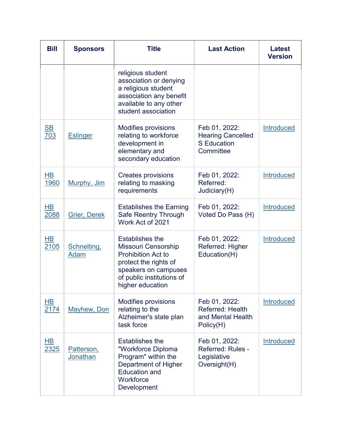| <b>Bill</b>                      | <b>Sponsors</b>               | <b>Title</b>                                                                                                                                                                        | <b>Last Action</b>                                                           | <b>Latest</b><br><b>Version</b> |
|----------------------------------|-------------------------------|-------------------------------------------------------------------------------------------------------------------------------------------------------------------------------------|------------------------------------------------------------------------------|---------------------------------|
|                                  |                               | religious student<br>association or denying<br>a religious student<br>association any benefit<br>available to any other<br>student association                                      |                                                                              |                                 |
| $\underline{\mathsf{SB}}$<br>703 | <b>Eslinger</b>               | <b>Modifies provisions</b><br>relating to workforce<br>development in<br>elementary and<br>secondary education                                                                      | Feb 01, 2022:<br><b>Hearing Cancelled</b><br><b>S</b> Education<br>Committee | Introduced                      |
| $\overline{AB}$<br>1960          | Murphy, Jim                   | <b>Creates provisions</b><br>relating to masking<br>requirements                                                                                                                    | Feb 01, 2022:<br>Referred:<br>Judiciary(H)                                   | <b>Introduced</b>               |
| HВ<br>2088                       | <b>Grier, Derek</b>           | <b>Establishes the Earning</b><br><b>Safe Reentry Through</b><br>Work Act of 2021                                                                                                   | Feb 01, 2022:<br>Voted Do Pass (H)                                           | <b>Introduced</b>               |
| <u>HB</u><br>2105                | Schnelting,<br>Adam           | <b>Establishes the</b><br><b>Missouri Censorship</b><br><b>Prohibition Act to</b><br>protect the rights of<br>speakers on campuses<br>of public institutions of<br>higher education | Feb 01, 2022:<br>Referred: Higher<br>Education(H)                            | Introduced                      |
| HВ<br>2174                       | <b>Mayhew, Don</b>            | <b>Modifies provisions</b><br>relating to the<br>Alzheimer's state plan<br>task force                                                                                               | Feb 01, 2022:<br><b>Referred: Health</b><br>and Mental Health<br>Policy(H)   | <b>Introduced</b>               |
| HВ<br>2325                       | Patterson,<br><b>Jonathan</b> | <b>Establishes the</b><br>"Workforce Diploma<br>Program" within the<br>Department of Higher<br><b>Education and</b><br>Workforce<br>Development                                     | Feb 01, 2022:<br><b>Referred: Rules -</b><br>Legislative<br>Oversight(H)     | <b>Introduced</b>               |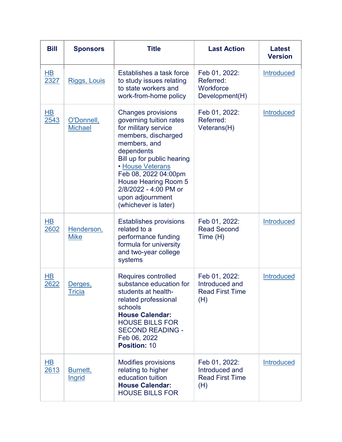| <b>Bill</b>                      | <b>Sponsors</b>                 | <b>Title</b>                                                                                                                                                                                                                                                                                                    | <b>Last Action</b>                                               | <b>Latest</b><br><b>Version</b> |
|----------------------------------|---------------------------------|-----------------------------------------------------------------------------------------------------------------------------------------------------------------------------------------------------------------------------------------------------------------------------------------------------------------|------------------------------------------------------------------|---------------------------------|
| $H$ B<br>2327                    | <b>Riggs, Louis</b>             | Establishes a task force<br>to study issues relating<br>to state workers and<br>work-from-home policy                                                                                                                                                                                                           | Feb 01, 2022:<br>Referred:<br>Workforce<br>Development(H)        | <b>Introduced</b>               |
| <u>HB</u><br>2543                | O'Donnell,<br><b>Michael</b>    | <b>Changes provisions</b><br>governing tuition rates<br>for military service<br>members, discharged<br>members, and<br>dependents<br>Bill up for public hearing<br><b>• House Veterans</b><br>Feb 08, 2022 04:00pm<br>House Hearing Room 5<br>2/8/2022 - 4:00 PM or<br>upon adjournment<br>(whichever is later) | Feb 01, 2022:<br>Referred:<br>Veterans(H)                        | <b>Introduced</b>               |
| $\overline{\mathsf{HB}}$<br>2602 | Henderson,<br><b>Mike</b>       | <b>Establishes provisions</b><br>related to a<br>performance funding<br>formula for university<br>and two-year college<br>systems                                                                                                                                                                               | Feb 01, 2022:<br><b>Read Second</b><br>Time (H)                  | <b>Introduced</b>               |
| HВ<br>2622                       | <u>Derges,</u><br><u>Tricia</u> | <b>Requires controlled</b><br>substance education for<br>students at health-<br>related professional<br>schools<br><b>House Calendar:</b><br><b>HOUSE BILLS FOR</b><br><b>SECOND READING -</b><br>Feb 06, 2022<br>Position: 10                                                                                  | Feb 01, 2022:<br>Introduced and<br><b>Read First Time</b><br>(H) | <b>Introduced</b>               |
| <b>HB</b><br>2613                | Burnett,<br><b>Ingrid</b>       | <b>Modifies provisions</b><br>relating to higher<br>education tuition<br><b>House Calendar:</b><br><b>HOUSE BILLS FOR</b>                                                                                                                                                                                       | Feb 01, 2022:<br>Introduced and<br><b>Read First Time</b><br>(H) | Introduced                      |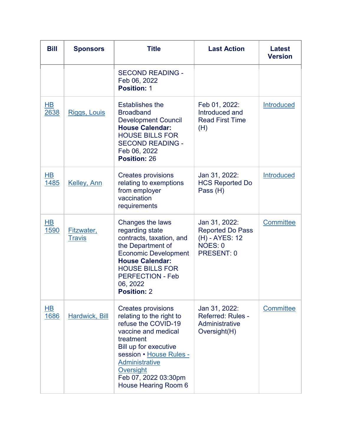| <b>Bill</b>             | <b>Sponsors</b>             | <b>Title</b>                                                                                                                                                                                                                                               | <b>Last Action</b>                                                                                | <b>Latest</b><br><b>Version</b> |
|-------------------------|-----------------------------|------------------------------------------------------------------------------------------------------------------------------------------------------------------------------------------------------------------------------------------------------------|---------------------------------------------------------------------------------------------------|---------------------------------|
|                         |                             | <b>SECOND READING -</b><br>Feb 06, 2022<br><b>Position: 1</b>                                                                                                                                                                                              |                                                                                                   |                                 |
| $\overline{HB}$<br>2638 | <b>Riggs, Louis</b>         | <b>Establishes the</b><br><b>Broadband</b><br><b>Development Council</b><br><b>House Calendar:</b><br><b>HOUSE BILLS FOR</b><br><b>SECOND READING -</b><br>Feb 06, 2022<br><b>Position: 26</b>                                                             | Feb 01, 2022:<br>Introduced and<br><b>Read First Time</b><br>(H)                                  | Introduced                      |
| $\overline{AB}$<br>1485 | Kelley, Ann                 | <b>Creates provisions</b><br>relating to exemptions<br>from employer<br>vaccination<br>requirements                                                                                                                                                        | Jan 31, 2022:<br><b>HCS Reported Do</b><br>Pass (H)                                               | Introduced                      |
| <u>HB</u><br>1590       | Fitzwater,<br><b>Travis</b> | Changes the laws<br>regarding state<br>contracts, taxation, and<br>the Department of<br><b>Economic Development</b><br><b>House Calendar:</b><br><b>HOUSE BILLS FOR</b><br><b>PERFECTION - Feb</b><br>06, 2022<br><b>Position: 2</b>                       | Jan 31, 2022:<br><b>Reported Do Pass</b><br>(H) - AYES: 12<br><b>NOES: 0</b><br><b>PRESENT: 0</b> | Committee                       |
| $\overline{HB}$<br>1686 | <b>Hardwick, Bill</b>       | <b>Creates provisions</b><br>relating to the right to<br>refuse the COVID-19<br>vaccine and medical<br>treatment<br>Bill up for executive<br>session • House Rules -<br><b>Administrative</b><br>Oversight<br>Feb 07, 2022 03:30pm<br>House Hearing Room 6 | Jan 31, 2022:<br><b>Referred: Rules -</b><br>Administrative<br>Oversight(H)                       | Committee                       |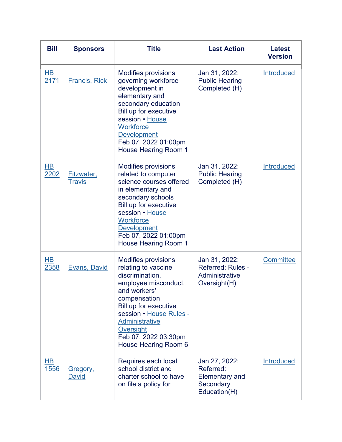| <b>Bill</b>             | <b>Sponsors</b>             | <b>Title</b>                                                                                                                                                                                                                                                           | <b>Last Action</b>                                                               | <b>Latest</b><br><b>Version</b> |
|-------------------------|-----------------------------|------------------------------------------------------------------------------------------------------------------------------------------------------------------------------------------------------------------------------------------------------------------------|----------------------------------------------------------------------------------|---------------------------------|
| $\overline{AB}$<br>2171 | <b>Francis, Rick</b>        | <b>Modifies provisions</b><br>governing workforce<br>development in<br>elementary and<br>secondary education<br>Bill up for executive<br>session • House<br>Workforce<br><b>Development</b><br>Feb 07, 2022 01:00pm<br><b>House Hearing Room 1</b>                     | Jan 31, 2022:<br><b>Public Hearing</b><br>Completed (H)                          | Introduced                      |
| <u>HB</u><br>2202       | Fitzwater,<br><b>Travis</b> | <b>Modifies provisions</b><br>related to computer<br>science courses offered<br>in elementary and<br>secondary schools<br>Bill up for executive<br>session • House<br><b>Workforce</b><br><b>Development</b><br>Feb 07, 2022 01:00pm<br><b>House Hearing Room 1</b>    | Jan 31, 2022:<br><b>Public Hearing</b><br>Completed (H)                          | <b>Introduced</b>               |
| HВ<br>2358              | Evans, David                | <b>Modifies provisions</b><br>relating to vaccine<br>discrimination,<br>employee misconduct,<br>and workers'<br>compensation<br>Bill up for executive<br>session • House Rules -<br><b>Administrative</b><br>Oversight<br>Feb 07, 2022 03:30pm<br>House Hearing Room 6 | Jan 31, 2022:<br><b>Referred: Rules -</b><br>Administrative<br>Oversight(H)      | <b>Committee</b>                |
| $\overline{HB}$<br>1556 | Gregory,<br>David           | Requires each local<br>school district and<br>charter school to have<br>on file a policy for                                                                                                                                                                           | Jan 27, 2022:<br>Referred:<br><b>Elementary and</b><br>Secondary<br>Education(H) | Introduced                      |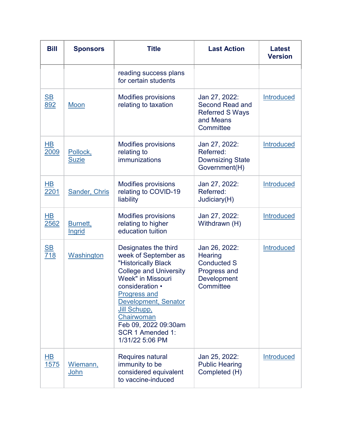| <b>Bill</b>                      | <b>Sponsors</b>           | <b>Title</b>                                                                                                                                                                                                                                                                                    | <b>Last Action</b>                                                                          | <b>Latest</b><br><b>Version</b> |
|----------------------------------|---------------------------|-------------------------------------------------------------------------------------------------------------------------------------------------------------------------------------------------------------------------------------------------------------------------------------------------|---------------------------------------------------------------------------------------------|---------------------------------|
|                                  |                           | reading success plans<br>for certain students                                                                                                                                                                                                                                                   |                                                                                             |                                 |
| $\underline{\mathbf{SB}}$<br>892 | Moon                      | <b>Modifies provisions</b><br>relating to taxation                                                                                                                                                                                                                                              | Jan 27, 2022:<br><b>Second Read and</b><br><b>Referred S Ways</b><br>and Means<br>Committee | Introduced                      |
| <u>HB</u><br>2009                | Pollock,<br><b>Suzie</b>  | Modifies provisions<br>relating to<br>immunizations                                                                                                                                                                                                                                             | Jan 27, 2022:<br>Referred:<br><b>Downsizing State</b><br>Government(H)                      | Introduced                      |
| HВ<br>2201                       | Sander, Chris             | <b>Modifies provisions</b><br>relating to COVID-19<br>liability                                                                                                                                                                                                                                 | Jan 27, 2022:<br>Referred:<br>Judiciary(H)                                                  | <b>Introduced</b>               |
| <u>HB</u><br>2562                | Burnett,<br><b>Ingrid</b> | <b>Modifies provisions</b><br>relating to higher<br>education tuition                                                                                                                                                                                                                           | Jan 27, 2022:<br>Withdrawn (H)                                                              | <b>Introduced</b>               |
| $\underline{\mathbf{SB}}$<br>718 | Washington                | Designates the third<br>week of September as<br>"Historically Black<br><b>College and University</b><br><b>Week"</b> in Missouri<br>consideration •<br><b>Progress and</b><br>Development, Senator<br>Jill Schupp,<br>Chairwoman<br>Feb 09, 2022 09:30am<br>SCR 1 Amended 1:<br>1/31/22 5:06 PM | Jan 26, 2022:<br>Hearing<br><b>Conducted S</b><br>Progress and<br>Development<br>Committee  | Introduced                      |
| $\overline{AB}$<br>1575          | Wiemann,<br><u>John</u>   | Requires natural<br>immunity to be<br>considered equivalent<br>to vaccine-induced                                                                                                                                                                                                               | Jan 25, 2022:<br><b>Public Hearing</b><br>Completed (H)                                     | Introduced                      |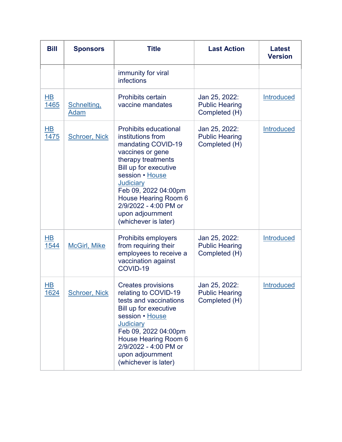| <b>Bill</b>                      | <b>Sponsors</b>      | <b>Title</b>                                                                                                                                                                                                                                                                                           | <b>Last Action</b>                                      | <b>Latest</b><br><b>Version</b> |
|----------------------------------|----------------------|--------------------------------------------------------------------------------------------------------------------------------------------------------------------------------------------------------------------------------------------------------------------------------------------------------|---------------------------------------------------------|---------------------------------|
|                                  |                      | immunity for viral<br><b>infections</b>                                                                                                                                                                                                                                                                |                                                         |                                 |
| $\overline{\mathsf{HB}}$<br>1465 | Schnelting,<br>Adam  | <b>Prohibits certain</b><br>vaccine mandates                                                                                                                                                                                                                                                           | Jan 25, 2022:<br><b>Public Hearing</b><br>Completed (H) | Introduced                      |
| $\overline{AB}$<br>1475          | <b>Schroer, Nick</b> | <b>Prohibits educational</b><br>institutions from<br>mandating COVID-19<br>vaccines or gene<br>therapy treatments<br>Bill up for executive<br>session • House<br><b>Judiciary</b><br>Feb 09, 2022 04:00pm<br>House Hearing Room 6<br>2/9/2022 - 4:00 PM or<br>upon adjournment<br>(whichever is later) | Jan 25, 2022:<br><b>Public Hearing</b><br>Completed (H) | <b>Introduced</b>               |
| $\overline{\mathsf{HB}}$<br>1544 | <b>McGirl, Mike</b>  | <b>Prohibits employers</b><br>from requiring their<br>employees to receive a<br>vaccination against<br>COVID-19                                                                                                                                                                                        | Jan 25, 2022:<br><b>Public Hearing</b><br>Completed (H) | <b>Introduced</b>               |
| HВ<br>1624                       | <u>Schroer, Nick</u> | <b>Creates provisions</b><br>relating to COVID-19<br>tests and vaccinations<br>Bill up for executive<br>session · House<br><b>Judiciary</b><br>Feb 09, 2022 04:00pm<br>House Hearing Room 6<br>2/9/2022 - 4:00 PM or<br>upon adjournment<br>(whichever is later)                                       | Jan 25, 2022:<br><b>Public Hearing</b><br>Completed (H) | <b>Introduced</b>               |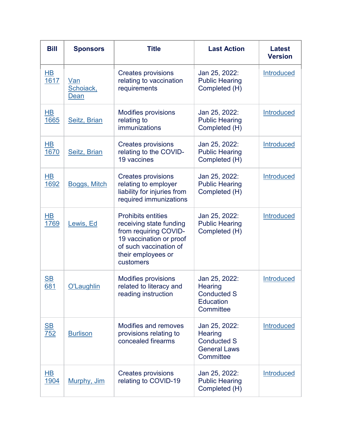| <b>Bill</b>                      | <b>Sponsors</b>          | <b>Title</b>                                                                                                                                                          | <b>Last Action</b>                                                                 | <b>Latest</b><br><b>Version</b> |
|----------------------------------|--------------------------|-----------------------------------------------------------------------------------------------------------------------------------------------------------------------|------------------------------------------------------------------------------------|---------------------------------|
| $\overline{HB}$<br>1617          | Van<br>Schoiack,<br>Dean | <b>Creates provisions</b><br>relating to vaccination<br>requirements                                                                                                  | Jan 25, 2022:<br><b>Public Hearing</b><br>Completed (H)                            | Introduced                      |
| <u>HB</u><br>1665                | Seitz, Brian             | <b>Modifies provisions</b><br>relating to<br>immunizations                                                                                                            | Jan 25, 2022:<br><b>Public Hearing</b><br>Completed (H)                            | <b>Introduced</b>               |
| H <sub>B</sub><br>1670           | Seitz, Brian             | <b>Creates provisions</b><br>relating to the COVID-<br>19 vaccines                                                                                                    | Jan 25, 2022:<br><b>Public Hearing</b><br>Completed (H)                            | Introduced                      |
| HВ<br>1692                       | <b>Boggs, Mitch</b>      | <b>Creates provisions</b><br>relating to employer<br>liability for injuries from<br>required immunizations                                                            | Jan 25, 2022:<br><b>Public Hearing</b><br>Completed (H)                            | <b>Introduced</b>               |
| HВ<br>1769                       | Lewis, Ed                | <b>Prohibits entities</b><br>receiving state funding<br>from requiring COVID-<br>19 vaccination or proof<br>of such vaccination of<br>their employees or<br>customers | Jan 25, 2022:<br><b>Public Hearing</b><br>Completed (H)                            | <b>Introduced</b>               |
| $\underline{\mathsf{SB}}$<br>681 | O'Laughlin               | <b>Modifies provisions</b><br>related to literacy and<br>reading instruction                                                                                          | Jan 25, 2022:<br>Hearing<br><b>Conducted S</b><br><b>Education</b><br>Committee    | <b>Introduced</b>               |
| $\underline{\mathsf{SB}}$<br>752 | <b>Burlison</b>          | <b>Modifies and removes</b><br>provisions relating to<br>concealed firearms                                                                                           | Jan 25, 2022:<br>Hearing<br><b>Conducted S</b><br><b>General Laws</b><br>Committee | Introduced                      |
| <u>HB</u><br>1904                | Murphy, Jim              | <b>Creates provisions</b><br>relating to COVID-19                                                                                                                     | Jan 25, 2022:<br><b>Public Hearing</b><br>Completed (H)                            | Introduced                      |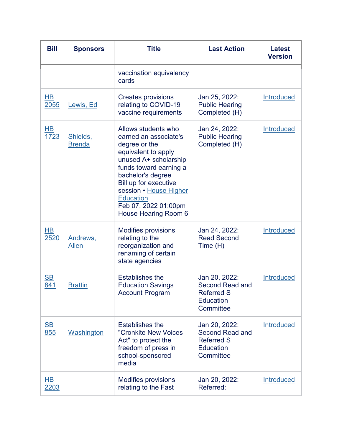| <b>Bill</b>                      | <b>Sponsors</b>           | <b>Title</b>                                                                                                                                                                                                                                                                        | <b>Last Action</b>                                                                            | <b>Latest</b><br><b>Version</b> |
|----------------------------------|---------------------------|-------------------------------------------------------------------------------------------------------------------------------------------------------------------------------------------------------------------------------------------------------------------------------------|-----------------------------------------------------------------------------------------------|---------------------------------|
|                                  |                           | vaccination equivalency<br>cards                                                                                                                                                                                                                                                    |                                                                                               |                                 |
| $\overline{HB}$<br>2055          | Lewis, Ed                 | <b>Creates provisions</b><br>relating to COVID-19<br>vaccine requirements                                                                                                                                                                                                           | Jan 25, 2022:<br><b>Public Hearing</b><br>Completed (H)                                       | <b>Introduced</b>               |
| <u>HB</u><br>1723                | Shields,<br><b>Brenda</b> | Allows students who<br>earned an associate's<br>degree or the<br>equivalent to apply<br>unused A+ scholarship<br>funds toward earning a<br>bachelor's degree<br>Bill up for executive<br>session • House Higher<br><b>Education</b><br>Feb 07, 2022 01:00pm<br>House Hearing Room 6 | Jan 24, 2022:<br><b>Public Hearing</b><br>Completed (H)                                       | Introduced                      |
| HВ<br>2520                       | Andrews,<br>Allen         | <b>Modifies provisions</b><br>relating to the<br>reorganization and<br>renaming of certain<br>state agencies                                                                                                                                                                        | Jan 24, 2022:<br><b>Read Second</b><br>Time (H)                                               | <b>Introduced</b>               |
| $\underline{\mathsf{SB}}$<br>841 | <b>Brattin</b>            | <b>Establishes the</b><br><b>Education Savings</b><br><b>Account Program</b>                                                                                                                                                                                                        | Jan 20, 2022:<br><b>Second Read and</b><br><b>Referred S</b><br>Education<br>Committee        | <b>Introduced</b>               |
| $\underline{\mathsf{SB}}$<br>855 | <b>Washington</b>         | <b>Establishes the</b><br>"Cronkite New Voices<br>Act" to protect the<br>freedom of press in<br>school-sponsored<br>media                                                                                                                                                           | Jan 20, 2022:<br><b>Second Read and</b><br><b>Referred S</b><br><b>Education</b><br>Committee | <b>Introduced</b>               |
| <u>HB</u><br>2203                |                           | <b>Modifies provisions</b><br>relating to the Fast                                                                                                                                                                                                                                  | Jan 20, 2022:<br>Referred:                                                                    | <b>Introduced</b>               |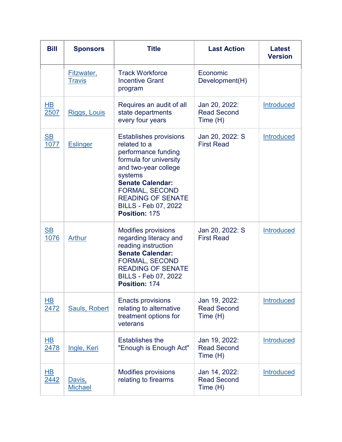| <b>Bill</b>                       | <b>Sponsors</b>             | <b>Title</b>                                                                                                                                                                                                                                                      | <b>Last Action</b>                              | <b>Latest</b><br><b>Version</b> |
|-----------------------------------|-----------------------------|-------------------------------------------------------------------------------------------------------------------------------------------------------------------------------------------------------------------------------------------------------------------|-------------------------------------------------|---------------------------------|
|                                   | Fitzwater,<br><b>Travis</b> | <b>Track Workforce</b><br><b>Incentive Grant</b><br>program                                                                                                                                                                                                       | Economic<br>Development(H)                      |                                 |
| HВ<br>2507                        | Riggs, Louis                | Requires an audit of all<br>state departments<br>every four years                                                                                                                                                                                                 | Jan 20, 2022:<br><b>Read Second</b><br>Time (H) | <b>Introduced</b>               |
| $\underline{\mathsf{SB}}$<br>1077 | <b>Eslinger</b>             | <b>Establishes provisions</b><br>related to a<br>performance funding<br>formula for university<br>and two-year college<br>systems<br><b>Senate Calendar:</b><br><b>FORMAL, SECOND</b><br><b>READING OF SENATE</b><br><b>BILLS - Feb 07, 2022</b><br>Position: 175 | Jan 20, 2022: S<br><b>First Read</b>            | <b>Introduced</b>               |
| $\underline{\mathsf{SB}}$<br>1076 | <b>Arthur</b>               | <b>Modifies provisions</b><br>regarding literacy and<br>reading instruction<br><b>Senate Calendar:</b><br><b>FORMAL, SECOND</b><br><b>READING OF SENATE</b><br><b>BILLS - Feb 07, 2022</b><br>Position: 174                                                       | Jan 20, 2022: S<br><b>First Read</b>            | <b>Introduced</b>               |
| $\overline{AB}$<br>2472           | <b>Sauls, Robert</b>        | <b>Enacts provisions</b><br>relating to alternative<br>treatment options for<br>veterans                                                                                                                                                                          | Jan 19, 2022:<br><b>Read Second</b><br>Time (H) | Introduced                      |
| HВ<br>2478                        | Ingle, Keri                 | <b>Establishes the</b><br>"Enough is Enough Act"                                                                                                                                                                                                                  | Jan 19, 2022:<br><b>Read Second</b><br>Time(H)  | <b>Introduced</b>               |
| <u>HB</u><br>2442                 | Davis,<br><b>Michael</b>    | <b>Modifies provisions</b><br>relating to firearms                                                                                                                                                                                                                | Jan 14, 2022:<br><b>Read Second</b><br>Time (H) | <b>Introduced</b>               |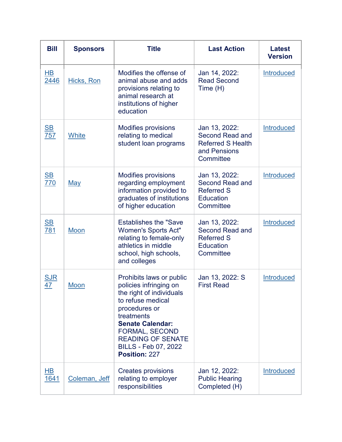| <b>Bill</b>                      | <b>Sponsors</b> | <b>Title</b>                                                                                                                                                                                                                                                              | <b>Last Action</b>                                                                            | <b>Latest</b><br><b>Version</b> |
|----------------------------------|-----------------|---------------------------------------------------------------------------------------------------------------------------------------------------------------------------------------------------------------------------------------------------------------------------|-----------------------------------------------------------------------------------------------|---------------------------------|
| $\overline{HB}$<br>2446          | Hicks, Ron      | Modifies the offense of<br>animal abuse and adds<br>provisions relating to<br>animal research at<br>institutions of higher<br>education                                                                                                                                   | Jan 14, 2022:<br><b>Read Second</b><br>Time (H)                                               | Introduced                      |
| $\underline{\mathsf{SB}}$<br>757 | White           | <b>Modifies provisions</b><br>relating to medical<br>student loan programs                                                                                                                                                                                                | Jan 13, 2022:<br>Second Read and<br><b>Referred S Health</b><br>and Pensions<br>Committee     | Introduced                      |
| $\underline{\mathsf{SB}}$<br>770 | <u>May</u>      | <b>Modifies provisions</b><br>regarding employment<br>information provided to<br>graduates of institutions<br>of higher education                                                                                                                                         | Jan 13, 2022:<br><b>Second Read and</b><br><b>Referred S</b><br>Education<br>Committee        | <b>Introduced</b>               |
| $\underline{\mathsf{SB}}$<br>781 | Moon            | <b>Establishes the "Save</b><br><b>Women's Sports Act"</b><br>relating to female-only<br>athletics in middle<br>school, high schools,<br>and colleges                                                                                                                     | Jan 13, 2022:<br><b>Second Read and</b><br><b>Referred S</b><br><b>Education</b><br>Committee | <b>Introduced</b>               |
| <u>SJR</u><br>47                 | Moon            | Prohibits laws or public<br>policies infringing on<br>the right of individuals<br>to refuse medical<br>procedures or<br>treatments<br><b>Senate Calendar:</b><br><b>FORMAL, SECOND</b><br><b>READING OF SENATE</b><br><b>BILLS - Feb 07, 2022</b><br><b>Position: 227</b> | Jan 13, 2022: S<br><b>First Read</b>                                                          | <b>Introduced</b>               |
| $\overline{AB}$<br>1641          | Coleman, Jeff   | <b>Creates provisions</b><br>relating to employer<br>responsibilities                                                                                                                                                                                                     | Jan 12, 2022:<br><b>Public Hearing</b><br>Completed (H)                                       | Introduced                      |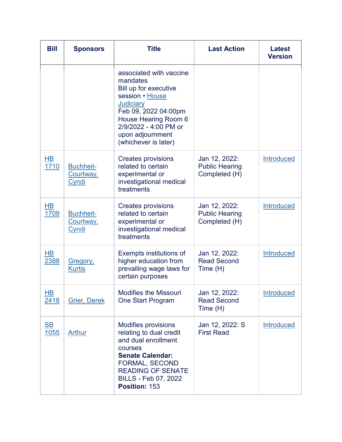| <b>Bill</b>                              | <b>Sponsors</b>                        | <b>Title</b>                                                                                                                                                                                                             | <b>Last Action</b>                                      | <b>Latest</b><br><b>Version</b> |
|------------------------------------------|----------------------------------------|--------------------------------------------------------------------------------------------------------------------------------------------------------------------------------------------------------------------------|---------------------------------------------------------|---------------------------------|
|                                          |                                        | associated with vaccine<br>mandates<br>Bill up for executive<br>session • House<br><b>Judiciary</b><br>Feb 09, 2022 04:00pm<br>House Hearing Room 6<br>2/9/2022 - 4:00 PM or<br>upon adjournment<br>(whichever is later) |                                                         |                                 |
| $\overline{HB}$<br>1710                  | <b>Buchheit-</b><br>Courtway,<br>Cyndi | <b>Creates provisions</b><br>related to certain<br>experimental or<br>investigational medical<br>treatments                                                                                                              | Jan 12, 2022:<br><b>Public Hearing</b><br>Completed (H) | Introduced                      |
| <u>HB</u><br>1709                        | <b>Buchheit-</b><br>Courtway,<br>Cyndi | <b>Creates provisions</b><br>related to certain<br>experimental or<br>investigational medical<br>treatments                                                                                                              | Jan 12, 2022:<br><b>Public Hearing</b><br>Completed (H) | Introduced                      |
| HВ<br>2388                               | Gregory,<br><b>Kurtis</b>              | Exempts institutions of<br>higher education from<br>prevailing wage laws for<br>certain purposes                                                                                                                         | Jan 12, 2022:<br><b>Read Second</b><br>Time (H)         | <b>Introduced</b>               |
| $H\mathsf{B}$<br>2418                    | <b>Grier, Derek</b>                    | <b>Modifies the Missouri</b><br><b>One Start Program</b>                                                                                                                                                                 | Jan 12, 2022:<br><b>Read Second</b><br>Time(H)          | Introduced                      |
| $\underline{\mathsf{SB}}$<br><u>1055</u> | <b>Arthur</b>                          | <b>Modifies provisions</b><br>relating to dual credit<br>and dual enrollment<br>courses<br><b>Senate Calendar:</b><br><b>FORMAL, SECOND</b><br><b>READING OF SENATE</b><br><b>BILLS - Feb 07, 2022</b><br>Position: 153  | Jan 12, 2022: S<br><b>First Read</b>                    | Introduced                      |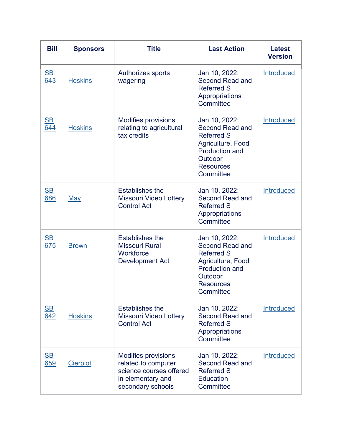| <b>Bill</b>                      | <b>Sponsors</b> | <b>Title</b>                                                                                                           | <b>Last Action</b>                                                                                                                              | <b>Latest</b><br><b>Version</b> |
|----------------------------------|-----------------|------------------------------------------------------------------------------------------------------------------------|-------------------------------------------------------------------------------------------------------------------------------------------------|---------------------------------|
| $\underline{\mathsf{SB}}$<br>643 | <b>Hoskins</b>  | Authorizes sports<br>wagering                                                                                          | Jan 10, 2022:<br><b>Second Read and</b><br><b>Referred S</b><br>Appropriations<br>Committee                                                     | Introduced                      |
| $\underline{\mathbf{SB}}$<br>644 | <b>Hoskins</b>  | <b>Modifies provisions</b><br>relating to agricultural<br>tax credits                                                  | Jan 10, 2022:<br>Second Read and<br><b>Referred S</b><br>Agriculture, Food<br><b>Production and</b><br>Outdoor<br><b>Resources</b><br>Committee | <b>Introduced</b>               |
| $\underline{\mathbf{SB}}$<br>686 | <b>May</b>      | <b>Establishes the</b><br><b>Missouri Video Lottery</b><br><b>Control Act</b>                                          | Jan 10, 2022:<br><b>Second Read and</b><br><b>Referred S</b><br>Appropriations<br>Committee                                                     | Introduced                      |
| $\underline{\mathsf{SB}}$<br>675 | <b>Brown</b>    | <b>Establishes the</b><br><b>Missouri Rural</b><br>Workforce<br><b>Development Act</b>                                 | Jan 10, 2022:<br>Second Read and<br><b>Referred S</b><br>Agriculture, Food<br><b>Production and</b><br>Outdoor<br><b>Resources</b><br>Committee | <b>Introduced</b>               |
| $\underline{\mathbf{SB}}$<br>642 | <b>Hoskins</b>  | <b>Establishes the</b><br><b>Missouri Video Lottery</b><br><b>Control Act</b>                                          | Jan 10, 2022:<br>Second Read and<br><b>Referred S</b><br>Appropriations<br>Committee                                                            | Introduced                      |
| $\underline{\mathsf{SB}}$<br>659 | <b>Cierpiot</b> | <b>Modifies provisions</b><br>related to computer<br>science courses offered<br>in elementary and<br>secondary schools | Jan 10, 2022:<br>Second Read and<br><b>Referred S</b><br><b>Education</b><br>Committee                                                          | <b>Introduced</b>               |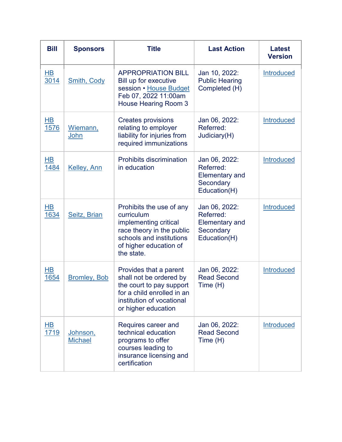| <b>Bill</b>             | <b>Sponsors</b>            | <b>Title</b>                                                                                                                                                     | <b>Last Action</b>                                                               | <b>Latest</b><br><b>Version</b> |
|-------------------------|----------------------------|------------------------------------------------------------------------------------------------------------------------------------------------------------------|----------------------------------------------------------------------------------|---------------------------------|
| $H$ B<br>3014           | <b>Smith, Cody</b>         | <b>APPROPRIATION BILL</b><br>Bill up for executive<br>session • House Budget<br>Feb 07, 2022 11:00am<br><b>House Hearing Room 3</b>                              | Jan 10, 2022:<br><b>Public Hearing</b><br>Completed (H)                          | <b>Introduced</b>               |
| $\overline{HB}$<br>1576 | Wiemann,<br>John           | <b>Creates provisions</b><br>relating to employer<br>liability for injuries from<br>required immunizations                                                       | Jan 06, 2022:<br>Referred:<br>Judiciary(H)                                       | Introduced                      |
| HВ<br>1484              | Kelley, Ann                | <b>Prohibits discrimination</b><br>in education                                                                                                                  | Jan 06, 2022:<br>Referred:<br><b>Elementary and</b><br>Secondary<br>Education(H) | Introduced                      |
| H <sub>B</sub><br>1634  | Seitz, Brian               | Prohibits the use of any<br>curriculum<br>implementing critical<br>race theory in the public<br>schools and institutions<br>of higher education of<br>the state. | Jan 06, 2022:<br>Referred:<br><b>Elementary and</b><br>Secondary<br>Education(H) | Introduced                      |
| $\overline{HB}$<br>1654 | <b>Bromley, Bob</b>        | Provides that a parent<br>shall not be ordered by<br>the court to pay support<br>for a child enrolled in an<br>institution of vocational<br>or higher education  | Jan 06, 2022:<br><b>Read Second</b><br>Time (H)                                  | <b>Introduced</b>               |
| <u>HB</u><br>1719       | Johnson,<br><b>Michael</b> | Requires career and<br>technical education<br>programs to offer<br>courses leading to<br>insurance licensing and<br>certification                                | Jan 06, 2022:<br><b>Read Second</b><br>Time(H)                                   | Introduced                      |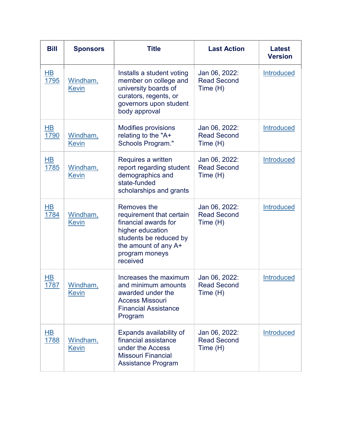| <b>Bill</b>                    | <b>Sponsors</b>          | <b>Title</b>                                                                                                                                                        | <b>Last Action</b>                              | <b>Latest</b><br><b>Version</b> |
|--------------------------------|--------------------------|---------------------------------------------------------------------------------------------------------------------------------------------------------------------|-------------------------------------------------|---------------------------------|
| $\overline{HB}$<br><u>1795</u> | Windham,<br><b>Kevin</b> | Installs a student voting<br>member on college and<br>university boards of<br>curators, regents, or<br>governors upon student<br>body approval                      | Jan 06, 2022:<br><b>Read Second</b><br>Time (H) | Introduced                      |
| $H\underline{B}$<br>1790       | Windham,<br><b>Kevin</b> | <b>Modifies provisions</b><br>relating to the "A+<br>Schools Program."                                                                                              | Jan 06, 2022:<br><b>Read Second</b><br>Time (H) | Introduced                      |
| HВ<br>1785                     | Windham,<br><b>Kevin</b> | Requires a written<br>report regarding student<br>demographics and<br>state-funded<br>scholarships and grants                                                       | Jan 06, 2022:<br><b>Read Second</b><br>Time (H) | <b>Introduced</b>               |
| $\overline{AB}$<br>1784        | Windham,<br><b>Kevin</b> | Removes the<br>requirement that certain<br>financial awards for<br>higher education<br>students be reduced by<br>the amount of any A+<br>program moneys<br>received | Jan 06, 2022:<br><b>Read Second</b><br>Time (H) | <b>Introduced</b>               |
| HВ<br>1787                     | Windham,<br>Kevin        | Increases the maximum<br>and minimum amounts<br>awarded under the<br><b>Access Missouri</b><br><b>Financial Assistance</b><br>Program                               | Jan 06, 2022:<br><b>Read Second</b><br>Time (H) | <b>Introduced</b>               |
| <u>HB</u><br>1788              | Windham,<br><u>Kevin</u> | Expands availability of<br>financial assistance<br>under the Access<br><b>Missouri Financial</b><br><b>Assistance Program</b>                                       | Jan 06, 2022:<br><b>Read Second</b><br>Time (H) | Introduced                      |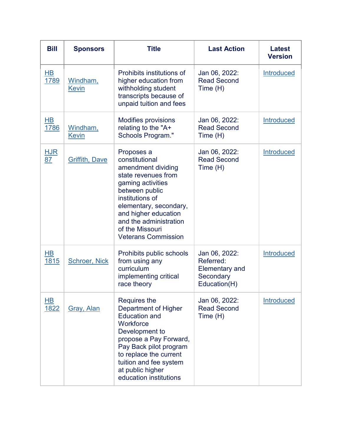| <b>Bill</b>             | <b>Sponsors</b>                 | <b>Title</b>                                                                                                                                                                                                                                                     | <b>Last Action</b>                                                               | <b>Latest</b><br><b>Version</b> |
|-------------------------|---------------------------------|------------------------------------------------------------------------------------------------------------------------------------------------------------------------------------------------------------------------------------------------------------------|----------------------------------------------------------------------------------|---------------------------------|
| $\overline{HB}$<br>1789 | <u>Windham,</u><br><b>Kevin</b> | Prohibits institutions of<br>higher education from<br>withholding student<br>transcripts because of<br>unpaid tuition and fees                                                                                                                                   | Jan 06, 2022:<br><b>Read Second</b><br>Time (H)                                  | <b>Introduced</b>               |
| H <sub>B</sub><br>1786  | <u>Windham,</u><br><b>Kevin</b> | <b>Modifies provisions</b><br>relating to the "A+<br>Schools Program."                                                                                                                                                                                           | Jan 06, 2022:<br><b>Read Second</b><br>Time (H)                                  | <b>Introduced</b>               |
| <u>HJR</u><br>87        | <b>Griffith, Dave</b>           | Proposes a<br>constitutional<br>amendment dividing<br>state revenues from<br>gaming activities<br>between public<br>institutions of<br>elementary, secondary,<br>and higher education<br>and the administration<br>of the Missouri<br><b>Veterans Commission</b> | Jan 06, 2022:<br><b>Read Second</b><br>Time (H)                                  | Introduced                      |
| HВ<br>1815              | <b>Schroer, Nick</b>            | Prohibits public schools<br>from using any<br>curriculum<br>implementing critical<br>race theory                                                                                                                                                                 | Jan 06, 2022:<br>Referred:<br><b>Elementary and</b><br>Secondary<br>Education(H) | <b>Introduced</b>               |
| HB<br><u>1822</u>       | <b>Gray, Alan</b>               | <b>Requires the</b><br><b>Department of Higher</b><br><b>Education and</b><br>Workforce<br>Development to<br>propose a Pay Forward,<br>Pay Back pilot program<br>to replace the current<br>tuition and fee system<br>at public higher<br>education institutions  | Jan 06, 2022:<br><b>Read Second</b><br>Time(H)                                   | Introduced                      |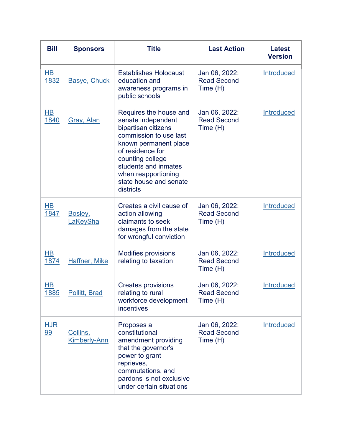| <b>Bill</b>                      | <b>Sponsors</b>                 | <b>Title</b>                                                                                                                                                                                                                                         | <b>Last Action</b>                              | <b>Latest</b><br><b>Version</b> |
|----------------------------------|---------------------------------|------------------------------------------------------------------------------------------------------------------------------------------------------------------------------------------------------------------------------------------------------|-------------------------------------------------|---------------------------------|
| $\overline{\mathsf{HB}}$<br>1832 | <b>Basye, Chuck</b>             | <b>Establishes Holocaust</b><br>education and<br>awareness programs in<br>public schools                                                                                                                                                             | Jan 06, 2022:<br><b>Read Second</b><br>Time (H) | <b>Introduced</b>               |
| <u>HB</u><br>1840                | Gray, Alan                      | Requires the house and<br>senate independent<br>bipartisan citizens<br>commission to use last<br>known permanent place<br>of residence for<br>counting college<br>students and inmates<br>when reapportioning<br>state house and senate<br>districts | Jan 06, 2022:<br><b>Read Second</b><br>Time (H) | <b>Introduced</b>               |
| HB<br>1847                       | Bosley,<br>LaKeySha             | Creates a civil cause of<br>action allowing<br>claimants to seek<br>damages from the state<br>for wrongful conviction                                                                                                                                | Jan 06, 2022:<br><b>Read Second</b><br>Time (H) | <b>Introduced</b>               |
| <b>HB</b><br>1874                | Haffner, Mike                   | <b>Modifies provisions</b><br>relating to taxation                                                                                                                                                                                                   | Jan 06, 2022:<br><b>Read Second</b><br>Time(H)  | Introduced                      |
| HВ<br><u>1885</u>                | <b>Pollitt, Brad</b>            | <b>Creates provisions</b><br>relating to rural<br>workforce development<br>incentives                                                                                                                                                                | Jan 06, 2022:<br><b>Read Second</b><br>Time (H) | <b>Introduced</b>               |
| <u>HJR</u><br><u>99</u>          | Collins,<br><b>Kimberly-Ann</b> | Proposes a<br>constitutional<br>amendment providing<br>that the governor's<br>power to grant<br>reprieves,<br>commutations, and<br>pardons is not exclusive<br>under certain situations                                                              | Jan 06, 2022:<br><b>Read Second</b><br>Time (H) | Introduced                      |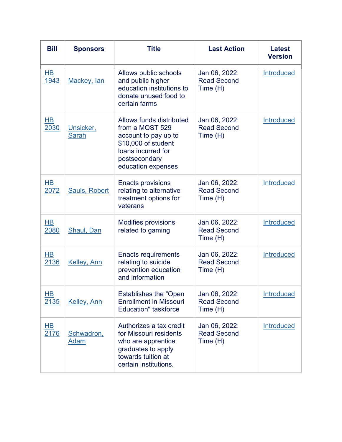| <b>Bill</b>                      | <b>Sponsors</b>           | <b>Title</b>                                                                                                                                            | <b>Last Action</b>                              | <b>Latest</b><br><b>Version</b> |
|----------------------------------|---------------------------|---------------------------------------------------------------------------------------------------------------------------------------------------------|-------------------------------------------------|---------------------------------|
| $\overline{\mathsf{HB}}$<br>1943 | Mackey, lan               | Allows public schools<br>and public higher<br>education institutions to<br>donate unused food to<br>certain farms                                       | Jan 06, 2022:<br><b>Read Second</b><br>Time (H) | <b>Introduced</b>               |
| <u>HB</u><br>2030                | Unsicker,<br><b>Sarah</b> | Allows funds distributed<br>from a MOST 529<br>account to pay up to<br>\$10,000 of student<br>loans incurred for<br>postsecondary<br>education expenses | Jan 06, 2022:<br><b>Read Second</b><br>Time (H) | <b>Introduced</b>               |
| HВ<br>2072                       | Sauls, Robert             | <b>Enacts provisions</b><br>relating to alternative<br>treatment options for<br>veterans                                                                | Jan 06, 2022:<br><b>Read Second</b><br>Time(H)  | <b>Introduced</b>               |
| HB<br>2080                       | Shaul, Dan                | <b>Modifies provisions</b><br>related to gaming                                                                                                         | Jan 06, 2022:<br><b>Read Second</b><br>Time (H) | <b>Introduced</b>               |
| HВ<br>2136                       | Kelley, Ann               | <b>Enacts requirements</b><br>relating to suicide<br>prevention education<br>and information                                                            | Jan 06, 2022:<br><b>Read Second</b><br>Time (H) | Introduced                      |
| <u>HB</u><br>2135                | <b>Kelley, Ann</b>        | <b>Establishes the "Open</b><br><b>Enrollment in Missouri</b><br><b>Education"</b> taskforce                                                            | Jan 06, 2022:<br><b>Read Second</b><br>Time (H) | Introduced                      |
| $H$ B<br>2176                    | Schwadron,<br><b>Adam</b> | Authorizes a tax credit<br>for Missouri residents<br>who are apprentice<br>graduates to apply<br>towards tuition at<br>certain institutions.            | Jan 06, 2022:<br><b>Read Second</b><br>Time (H) | <b>Introduced</b>               |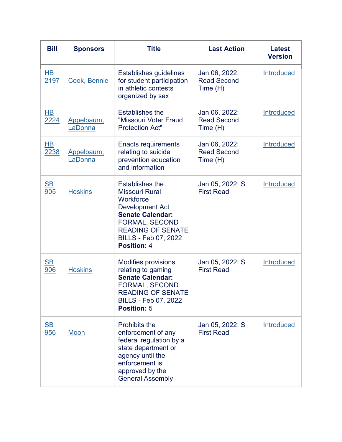| <b>Bill</b>                      | <b>Sponsors</b>       | <b>Title</b>                                                                                                                                                                                                                | <b>Last Action</b>                              | <b>Latest</b><br><b>Version</b> |
|----------------------------------|-----------------------|-----------------------------------------------------------------------------------------------------------------------------------------------------------------------------------------------------------------------------|-------------------------------------------------|---------------------------------|
| $\overline{HB}$<br>2197          | Cook, Bennie          | <b>Establishes guidelines</b><br>for student participation<br>in athletic contests<br>organized by sex                                                                                                                      | Jan 06, 2022:<br><b>Read Second</b><br>Time (H) | <b>Introduced</b>               |
| $H$ B<br>2224                    | Appelbaum,<br>LaDonna | <b>Establishes the</b><br>"Missouri Voter Fraud<br><b>Protection Act"</b>                                                                                                                                                   | Jan 06, 2022:<br><b>Read Second</b><br>Time (H) | <b>Introduced</b>               |
| $\overline{AB}$<br>2238          | Appelbaum,<br>LaDonna | <b>Enacts requirements</b><br>relating to suicide<br>prevention education<br>and information                                                                                                                                | Jan 06, 2022:<br><b>Read Second</b><br>Time (H) | <b>Introduced</b>               |
| $\underline{\mathsf{SB}}$<br>905 | <b>Hoskins</b>        | <b>Establishes the</b><br><b>Missouri Rural</b><br>Workforce<br><b>Development Act</b><br><b>Senate Calendar:</b><br><b>FORMAL, SECOND</b><br><b>READING OF SENATE</b><br><b>BILLS - Feb 07, 2022</b><br><b>Position: 4</b> | Jan 05, 2022: S<br><b>First Read</b>            | <b>Introduced</b>               |
| $\underline{\mathsf{SB}}$<br>906 | <b>Hoskins</b>        | <b>Modifies provisions</b><br>relating to gaming<br><b>Senate Calendar:</b><br><b>FORMAL, SECOND</b><br><b>READING OF SENATE</b><br>BILLS - Feb 07, 2022<br><b>Position: 5</b>                                              | Jan 05, 2022: S<br><b>First Read</b>            | <b>Introduced</b>               |
| $\underline{\mathsf{SB}}$<br>956 | <u>Moon</u>           | Prohibits the<br>enforcement of any<br>federal regulation by a<br>state department or<br>agency until the<br>enforcement is<br>approved by the<br><b>General Assembly</b>                                                   | Jan 05, 2022: S<br><b>First Read</b>            | Introduced                      |